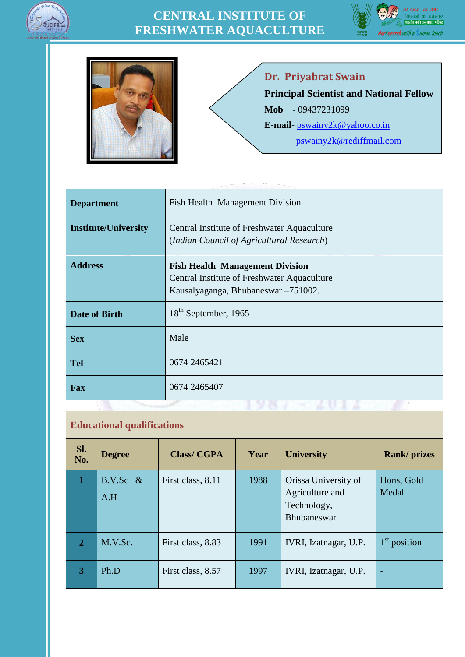





**Dr. Priyabrat Swain**

**Principal Scientist and National Fellow**

**Mob** - 09437231099

**E-mail**- [pswainy2k@yahoo.co.in](mailto:pswainy2k@yahoo.co.in)

[pswainy2k@rediffmail.com](file:///D:/BioData/pswainy2k@rediffmail.com)

| <b>Department</b>           | Fish Health Management Division                                                                                              |
|-----------------------------|------------------------------------------------------------------------------------------------------------------------------|
| <b>Institute/University</b> | Central Institute of Freshwater Aquaculture<br>(Indian Council of Agricultural Research)                                     |
| <b>Address</b>              | <b>Fish Health Management Division</b><br>Central Institute of Freshwater Aquaculture<br>Kausalyaganga, Bhubaneswar -751002. |
| <b>Date of Birth</b>        | 18 <sup>th</sup> September, 1965                                                                                             |
| <b>Sex</b>                  | Male                                                                                                                         |
| <b>Tel</b>                  | 0674 2465421                                                                                                                 |
| <b>Fax</b>                  | 0674 2465407                                                                                                                 |

## **Educational qualifications**

| Sl.<br>No.   | <b>Degree</b>      | <b>Class/CGPA</b> | Year | <b>University</b>                                                            | <b>Rank/prizes</b>  |
|--------------|--------------------|-------------------|------|------------------------------------------------------------------------------|---------------------|
|              | $B.V.Sc \&$<br>A.H | First class, 8.11 | 1988 | Orissa University of<br>Agriculture and<br>Technology,<br><b>Bhubaneswar</b> | Hons, Gold<br>Medal |
| $\mathbf{2}$ | M.V.Sc.            | First class, 8.83 | 1991 | IVRI, Izatnagar, U.P.                                                        | $1st$ position      |
| 3            | Ph.D               | First class, 8.57 | 1997 | IVRI, Izatnagar, U.P.                                                        |                     |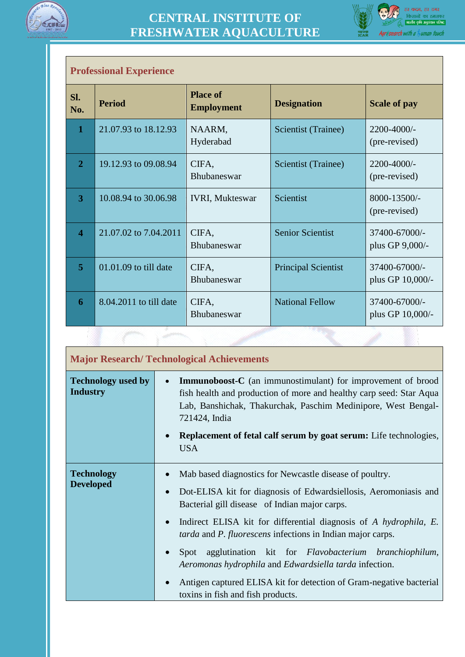



|     | <b>Professional Experience</b> |                         |                                      |                            |                                   |
|-----|--------------------------------|-------------------------|--------------------------------------|----------------------------|-----------------------------------|
| Sl. | No.                            | <b>Period</b>           | <b>Place of</b><br><b>Employment</b> | <b>Designation</b>         | <b>Scale of pay</b>               |
|     | $\mathbf{1}$                   | 21.07.93 to 18.12.93    | NAARM,<br>Hyderabad                  | Scientist (Trainee)        | 2200-4000/-<br>(pre-revised)      |
|     | $\overline{2}$                 | 19.12.93 to 09.08.94    | CIFA,<br><b>Bhubaneswar</b>          | Scientist (Trainee)        | 2200-4000/-<br>(pre-revised)      |
|     | $\overline{3}$                 | 10.08.94 to 30.06.98    | <b>IVRI, Mukteswar</b>               | Scientist                  | 8000-13500/-<br>(pre-revised)     |
|     | $\overline{\mathbf{4}}$        | 21.07.02 to 7.04.2011   | CIFA,<br>Bhubaneswar                 | <b>Senior Scientist</b>    | 37400-67000/-<br>plus GP 9,000/-  |
|     | $\overline{5}$                 | $01.01.09$ to till date | CIFA,<br><b>Bhubaneswar</b>          | <b>Principal Scientist</b> | 37400-67000/-<br>plus GP 10,000/- |
|     | 6                              | 8.04.2011 to till date  | CIFA,<br><b>Bhubaneswar</b>          | <b>National Fellow</b>     | 37400-67000/-<br>plus GP 10,000/- |
|     |                                |                         |                                      |                            |                                   |

|                                              | <b>Major Research/Technological Achievements</b>                                                                                                                                                                                                                                                                                                                                                                                                                                                                                                                                                                             |  |
|----------------------------------------------|------------------------------------------------------------------------------------------------------------------------------------------------------------------------------------------------------------------------------------------------------------------------------------------------------------------------------------------------------------------------------------------------------------------------------------------------------------------------------------------------------------------------------------------------------------------------------------------------------------------------------|--|
| <b>Technology used by</b><br><b>Industry</b> | <b>Immunoboost-C</b> (an immunostimulant) for improvement of brood<br>$\bullet$<br>fish health and production of more and healthy carp seed: Star Aqua<br>Lab, Banshichak, Thakurchak, Paschim Medinipore, West Bengal-<br>721424, India<br><b>Replacement of fetal calf serum by goat serum:</b> Life technologies,<br><b>USA</b>                                                                                                                                                                                                                                                                                           |  |
| <b>Technology</b><br><b>Developed</b>        | Mab based diagnostics for Newcastle disease of poultry.<br>Dot-ELISA kit for diagnosis of Edwardsiellosis, Aeromoniasis and<br>$\bullet$<br>Bacterial gill disease of Indian major carps.<br>Indirect ELISA kit for differential diagnosis of A hydrophila, E.<br>$\bullet$<br><i>tarda</i> and <i>P. fluorescens</i> infections in Indian major carps.<br>Spot agglutination kit for <i>Flavobacterium branchiophilum</i> ,<br>$\bullet$<br>Aeromonas hydrophila and Edwardsiella tarda infection.<br>Antigen captured ELISA kit for detection of Gram-negative bacterial<br>$\bullet$<br>toxins in fish and fish products. |  |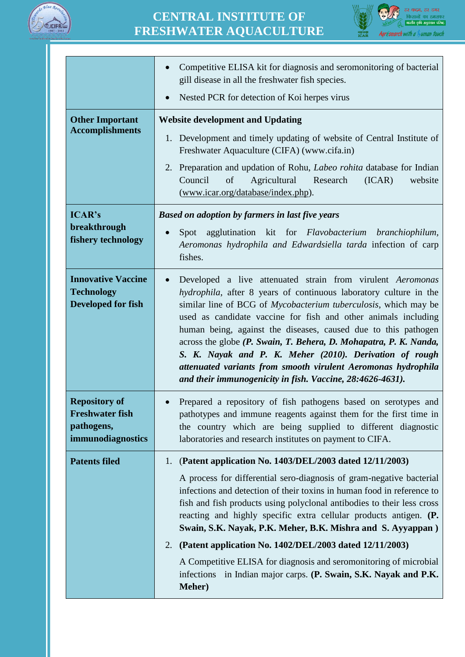



|                                                                                   | Competitive ELISA kit for diagnosis and seromonitoring of bacterial<br>$\bullet$<br>gill disease in all the freshwater fish species.                                                                                                                                                                                                                                                                                                                                                                                                                                                                              |
|-----------------------------------------------------------------------------------|-------------------------------------------------------------------------------------------------------------------------------------------------------------------------------------------------------------------------------------------------------------------------------------------------------------------------------------------------------------------------------------------------------------------------------------------------------------------------------------------------------------------------------------------------------------------------------------------------------------------|
|                                                                                   | Nested PCR for detection of Koi herpes virus<br>$\bullet$                                                                                                                                                                                                                                                                                                                                                                                                                                                                                                                                                         |
| <b>Other Important</b>                                                            | <b>Website development and Updating</b>                                                                                                                                                                                                                                                                                                                                                                                                                                                                                                                                                                           |
| <b>Accomplishments</b>                                                            | 1. Development and timely updating of website of Central Institute of<br>Freshwater Aquaculture (CIFA) (www.cifa.in)                                                                                                                                                                                                                                                                                                                                                                                                                                                                                              |
|                                                                                   | 2. Preparation and updation of Rohu, <i>Labeo rohita</i> database for Indian<br>Agricultural<br>Council<br>of<br>Research<br>(ICAR)<br>website<br>(www.icar.org/database/index.php).                                                                                                                                                                                                                                                                                                                                                                                                                              |
| <b>ICAR's</b>                                                                     | <b>Based on adoption by farmers in last five years</b>                                                                                                                                                                                                                                                                                                                                                                                                                                                                                                                                                            |
| breakthrough<br>fishery technology                                                | Spot agglutination kit for Flavobacterium branchiophilum,<br>$\bullet$<br>Aeromonas hydrophila and Edwardsiella tarda infection of carp<br>fishes.                                                                                                                                                                                                                                                                                                                                                                                                                                                                |
| <b>Innovative Vaccine</b><br><b>Technology</b><br><b>Developed for fish</b>       | Developed a live attenuated strain from virulent Aeromonas<br>$\bullet$<br>hydrophila, after 8 years of continuous laboratory culture in the<br>similar line of BCG of Mycobacterium tuberculosis, which may be<br>used as candidate vaccine for fish and other animals including<br>human being, against the diseases, caused due to this pathogen<br>across the globe (P. Swain, T. Behera, D. Mohapatra, P. K. Nanda,<br>S. K. Nayak and P. K. Meher (2010). Derivation of rough<br>attenuated variants from smooth virulent Aeromonas hydrophila<br>and their immunogenicity in fish. Vaccine, 28:4626-4631). |
| <b>Repository of</b><br><b>Freshwater fish</b><br>pathogens,<br>immunodiagnostics | Prepared a repository of fish pathogens based on serotypes and<br>pathotypes and immune reagents against them for the first time in<br>the country which are being supplied to different diagnostic<br>laboratories and research institutes on payment to CIFA.                                                                                                                                                                                                                                                                                                                                                   |
| <b>Patents filed</b>                                                              | (Patent application No. 1403/DEL/2003 dated 12/11/2003)<br>1.                                                                                                                                                                                                                                                                                                                                                                                                                                                                                                                                                     |
|                                                                                   | A process for differential sero-diagnosis of gram-negative bacterial<br>infections and detection of their toxins in human food in reference to<br>fish and fish products using polyclonal antibodies to their less cross<br>reacting and highly specific extra cellular products antigen. (P.<br>Swain, S.K. Nayak, P.K. Meher, B.K. Mishra and S. Ayyappan)                                                                                                                                                                                                                                                      |
|                                                                                   | (Patent application No. 1402/DEL/2003 dated 12/11/2003)<br>2.                                                                                                                                                                                                                                                                                                                                                                                                                                                                                                                                                     |
|                                                                                   | A Competitive ELISA for diagnosis and seromonitoring of microbial<br>infections in Indian major carps. (P. Swain, S.K. Nayak and P.K.<br><b>Meher</b> )                                                                                                                                                                                                                                                                                                                                                                                                                                                           |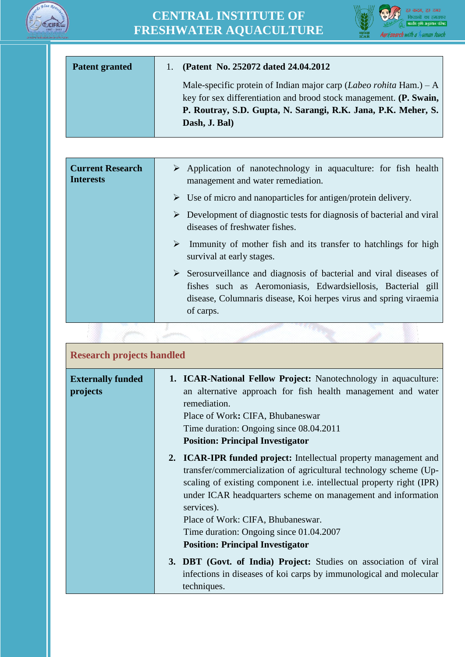



| <b>Patent granted</b> | (Patent No. 252072 dated 24.04.2012)                                                                                                                                                                                                                                                    |
|-----------------------|-----------------------------------------------------------------------------------------------------------------------------------------------------------------------------------------------------------------------------------------------------------------------------------------|
|                       | Male-specific protein of Indian major carp (Labeo rohita Ham.) – A<br>key for sex differentiation and brood stock management. (P. Swain,<br>P. Routray, S.D. Gupta, N. Sarangi, R.K. Jana, P.K. Meher, S.<br>Dash, J. Bal)                                                              |
|                       |                                                                                                                                                                                                                                                                                         |
| $\sim$ $\sim$         | $\mathcal{N}$ and $\mathcal{N}$ are the contract of the contract of the contract of the contract of the contract of the contract of the contract of the contract of the contract of the contract of the contract of the contract of the<br>$C^{*}$ 1 1 1 1<br>$\mathbf{1}$ $\mathbf{c}$ |

| <b>Current Research</b><br><b>Interests</b> | $\triangleright$ Application of nanotechnology in aquaculture: for fish health<br>management and water remediation.                                                                                                                  |
|---------------------------------------------|--------------------------------------------------------------------------------------------------------------------------------------------------------------------------------------------------------------------------------------|
|                                             | $\triangleright$ Use of micro and nanoparticles for antigen/protein delivery.                                                                                                                                                        |
|                                             | $\triangleright$ Development of diagnostic tests for diagnosis of bacterial and viral<br>diseases of freshwater fishes.                                                                                                              |
|                                             | Immunity of mother fish and its transfer to hatchlings for high<br>$\blacktriangleright$<br>survival at early stages.                                                                                                                |
|                                             | $\triangleright$ Serosurveillance and diagnosis of bacterial and viral diseases of<br>fishes such as Aeromoniasis, Edwardsiellosis, Bacterial gill<br>disease, Columnaris disease, Koi herpes virus and spring viraemia<br>of carps. |

| <b>Research projects handled</b>     |                                                                                                                                                                                                                                                                                                                                                                                                                        |
|--------------------------------------|------------------------------------------------------------------------------------------------------------------------------------------------------------------------------------------------------------------------------------------------------------------------------------------------------------------------------------------------------------------------------------------------------------------------|
| <b>Externally funded</b><br>projects | 1. ICAR-National Fellow Project: Nanotechnology in aquaculture:<br>an alternative approach for fish health management and water<br>remediation.<br>Place of Work: CIFA, Bhubaneswar<br>Time duration: Ongoing since 08.04.2011<br><b>Position: Principal Investigator</b>                                                                                                                                              |
|                                      | 2. ICAR-IPR funded project: Intellectual property management and<br>transfer/commercialization of agricultural technology scheme (Up-<br>scaling of existing component i.e. intellectual property right (IPR)<br>under ICAR headquarters scheme on management and information<br>services).<br>Place of Work: CIFA, Bhubaneswar.<br>Time duration: Ongoing since 01.04.2007<br><b>Position: Principal Investigator</b> |
|                                      | 3. DBT (Govt. of India) Project: Studies on association of viral<br>infections in diseases of koi carps by immunological and molecular<br>techniques.                                                                                                                                                                                                                                                                  |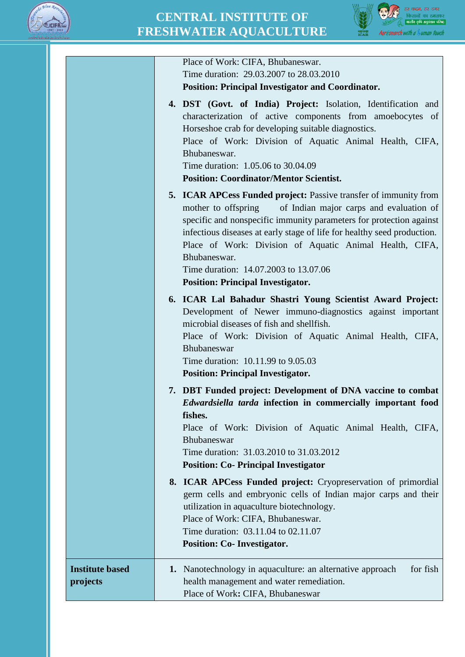



|                                    | Place of Work: CIFA, Bhubaneswar.<br>Time duration: 29.03.2007 to 28.03.2010                                                                                                                                                                                                                                                                                                                                                                                |
|------------------------------------|-------------------------------------------------------------------------------------------------------------------------------------------------------------------------------------------------------------------------------------------------------------------------------------------------------------------------------------------------------------------------------------------------------------------------------------------------------------|
|                                    | <b>Position: Principal Investigator and Coordinator.</b>                                                                                                                                                                                                                                                                                                                                                                                                    |
|                                    | 4. DST (Govt. of India) Project: Isolation, Identification and<br>characterization of active components from amoebocytes of<br>Horseshoe crab for developing suitable diagnostics.<br>Place of Work: Division of Aquatic Animal Health, CIFA,<br>Bhubaneswar.<br>Time duration: 1.05.06 to 30.04.09<br><b>Position: Coordinator/Mentor Scientist.</b>                                                                                                       |
|                                    | <b>5. ICAR APCess Funded project:</b> Passive transfer of immunity from<br>of Indian major carps and evaluation of<br>mother to offspring<br>specific and nonspecific immunity parameters for protection against<br>infectious diseases at early stage of life for healthy seed production.<br>Place of Work: Division of Aquatic Animal Health, CIFA,<br>Bhubaneswar.<br>Time duration: 14.07.2003 to 13.07.06<br><b>Position: Principal Investigator.</b> |
|                                    | 6. ICAR Lal Bahadur Shastri Young Scientist Award Project:<br>Development of Newer immuno-diagnostics against important<br>microbial diseases of fish and shellfish.<br>Place of Work: Division of Aquatic Animal Health, CIFA,<br>Bhubaneswar<br>Time duration: 10.11.99 to 9.05.03<br><b>Position: Principal Investigator.</b>                                                                                                                            |
|                                    | 7. DBT Funded project: Development of DNA vaccine to combat<br><i>Edwardsiella tarda</i> infection in commercially important food<br>fishes.<br>Place of Work: Division of Aquatic Animal Health, CIFA,<br>Bhubaneswar<br>Time duration: 31.03.2010 to 31.03.2012<br><b>Position: Co- Principal Investigator</b>                                                                                                                                            |
|                                    | 8. ICAR APCess Funded project: Cryopreservation of primordial<br>germ cells and embryonic cells of Indian major carps and their<br>utilization in aquaculture biotechnology.<br>Place of Work: CIFA, Bhubaneswar.<br>Time duration: 03.11.04 to 02.11.07<br><b>Position: Co-Investigator.</b>                                                                                                                                                               |
| <b>Institute based</b><br>projects | 1. Nanotechnology in aquaculture: an alternative approach<br>for fish<br>health management and water remediation.<br>Place of Work: CIFA, Bhubaneswar                                                                                                                                                                                                                                                                                                       |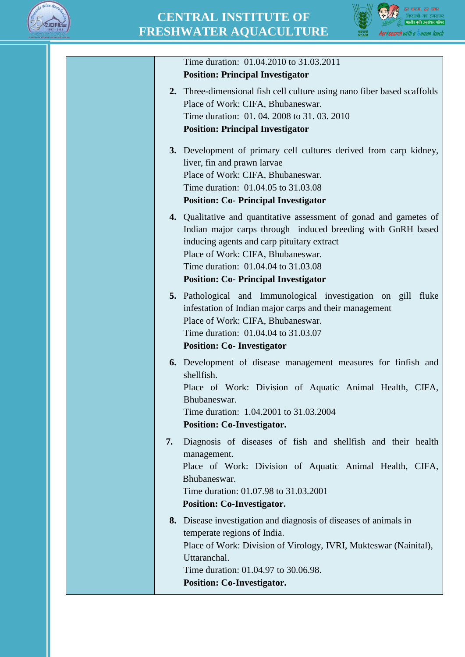



| Time duration: 01.04.2010 to 31.03.2011                                                                                                                                                                                                                                                                    |
|------------------------------------------------------------------------------------------------------------------------------------------------------------------------------------------------------------------------------------------------------------------------------------------------------------|
| <b>Position: Principal Investigator</b>                                                                                                                                                                                                                                                                    |
| 2. Three-dimensional fish cell culture using nano fiber based scaffolds                                                                                                                                                                                                                                    |
| Place of Work: CIFA, Bhubaneswar.                                                                                                                                                                                                                                                                          |
| Time duration: 01, 04, 2008 to 31, 03, 2010                                                                                                                                                                                                                                                                |
| <b>Position: Principal Investigator</b>                                                                                                                                                                                                                                                                    |
|                                                                                                                                                                                                                                                                                                            |
| 3. Development of primary cell cultures derived from carp kidney,                                                                                                                                                                                                                                          |
| liver, fin and prawn larvae                                                                                                                                                                                                                                                                                |
| Place of Work: CIFA, Bhubaneswar.                                                                                                                                                                                                                                                                          |
| Time duration: 01.04.05 to 31.03.08                                                                                                                                                                                                                                                                        |
| <b>Position: Co- Principal Investigator</b>                                                                                                                                                                                                                                                                |
| 4. Qualitative and quantitative assessment of gonad and gametes of<br>Indian major carps through induced breeding with GnRH based<br>inducing agents and carp pituitary extract<br>Place of Work: CIFA, Bhubaneswar.<br>Time duration: 01.04.04 to 31.03.08<br><b>Position: Co- Principal Investigator</b> |
| 5. Pathological and Immunological investigation on gill fluke                                                                                                                                                                                                                                              |
| infestation of Indian major carps and their management                                                                                                                                                                                                                                                     |
| Place of Work: CIFA, Bhubaneswar.                                                                                                                                                                                                                                                                          |
| Time duration: 01.04.04 to 31.03.07                                                                                                                                                                                                                                                                        |
| <b>Position: Co- Investigator</b>                                                                                                                                                                                                                                                                          |
|                                                                                                                                                                                                                                                                                                            |
| <b>6.</b> Development of disease management measures for finfish and                                                                                                                                                                                                                                       |
| shellfish.                                                                                                                                                                                                                                                                                                 |
| Place of Work: Division of Aquatic Animal Health, CIFA,                                                                                                                                                                                                                                                    |
| Bhubaneswar.                                                                                                                                                                                                                                                                                               |
| Time duration: 1.04.2001 to 31.03.2004                                                                                                                                                                                                                                                                     |
| <b>Position: Co-Investigator.</b>                                                                                                                                                                                                                                                                          |
| Diagnosis of diseases of fish and shellfish and their health<br>7.                                                                                                                                                                                                                                         |
| management.                                                                                                                                                                                                                                                                                                |
| Place of Work: Division of Aquatic Animal Health, CIFA,                                                                                                                                                                                                                                                    |
| Bhubaneswar.                                                                                                                                                                                                                                                                                               |
| Time duration: 01.07.98 to 31.03.2001                                                                                                                                                                                                                                                                      |
| <b>Position: Co-Investigator.</b>                                                                                                                                                                                                                                                                          |
|                                                                                                                                                                                                                                                                                                            |
| 8. Disease investigation and diagnosis of diseases of animals in                                                                                                                                                                                                                                           |
| temperate regions of India.                                                                                                                                                                                                                                                                                |
| Place of Work: Division of Virology, IVRI, Mukteswar (Nainital),<br>Uttaranchal.                                                                                                                                                                                                                           |
| Time duration: 01.04.97 to 30.06.98.                                                                                                                                                                                                                                                                       |
|                                                                                                                                                                                                                                                                                                            |
| <b>Position: Co-Investigator.</b>                                                                                                                                                                                                                                                                          |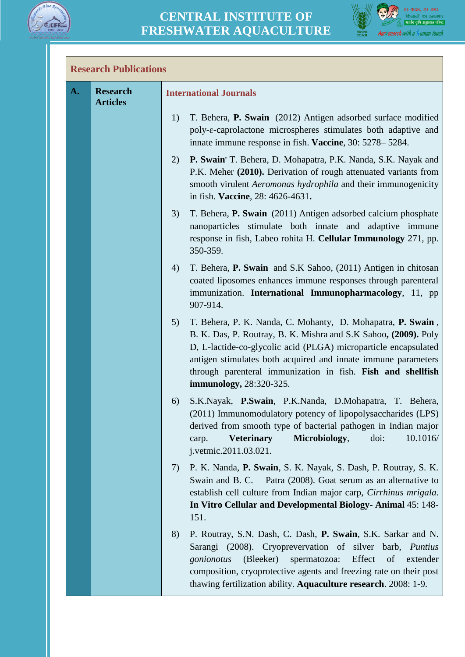



## **Research Publications**

| A. | <b>Research</b><br><b>Articles</b> | <b>International Journals</b>                                                                                                                                                                                                                                                                                                                                      |
|----|------------------------------------|--------------------------------------------------------------------------------------------------------------------------------------------------------------------------------------------------------------------------------------------------------------------------------------------------------------------------------------------------------------------|
|    |                                    | T. Behera, P. Swain (2012) Antigen adsorbed surface modified<br>1)<br>poly- $\varepsilon$ -caprolactone microspheres stimulates both adaptive and<br>innate immune response in fish. Vaccine, 30: 5278–5284.                                                                                                                                                       |
|    |                                    | P. Swain' T. Behera, D. Mohapatra, P.K. Nanda, S.K. Nayak and<br>2)<br>P.K. Meher (2010). Derivation of rough attenuated variants from<br>smooth virulent Aeromonas hydrophila and their immunogenicity<br>in fish. Vaccine, 28: 4626-4631.                                                                                                                        |
|    |                                    | T. Behera, P. Swain (2011) Antigen adsorbed calcium phosphate<br>3)<br>nanoparticles stimulate both innate and adaptive immune<br>response in fish, Labeo rohita H. Cellular Immunology 271, pp.<br>350-359.                                                                                                                                                       |
|    |                                    | 4)<br>T. Behera, P. Swain and S.K Sahoo, (2011) Antigen in chitosan<br>coated liposomes enhances immune responses through parenteral<br>immunization. International Immunopharmacology, 11, pp<br>907-914.                                                                                                                                                         |
|    |                                    | 5)<br>T. Behera, P. K. Nanda, C. Mohanty, D. Mohapatra, P. Swain,<br>B. K. Das, P. Routray, B. K. Mishra and S.K Sahoo, (2009). Poly<br>D, L-lactide-co-glycolic acid (PLGA) microparticle encapsulated<br>antigen stimulates both acquired and innate immune parameters<br>through parenteral immunization in fish. Fish and shellfish<br>immunology, 28:320-325. |
|    |                                    | S.K.Nayak, P.Swain, P.K.Nanda, D.Mohapatra, T. Behera,<br>6)<br>(2011) Immunomodulatory potency of lipopolysaccharides (LPS)<br>derived from smooth type of bacterial pathogen in Indian major<br>Microbiology,<br>doi:<br>10.1016/<br><b>Veterinary</b><br>carp.<br>j.vetmic.2011.03.021.                                                                         |
|    |                                    | P. K. Nanda, P. Swain, S. K. Nayak, S. Dash, P. Routray, S. K.<br>7)<br>Swain and B. C. Patra (2008). Goat serum as an alternative to<br>establish cell culture from Indian major carp, Cirrhinus mrigala.<br>In Vitro Cellular and Developmental Biology-Animal 45: 148-<br>151.                                                                                  |
|    |                                    | P. Routray, S.N. Dash, C. Dash, P. Swain, S.K. Sarkar and N.<br>8)<br>Sarangi (2008). Cryoprevervation of silver barb, Puntius<br>Effect<br>(Bleeker)<br>spermatozoa:<br>gonionotus<br>of<br>extender<br>composition, cryoprotective agents and freezing rate on their post<br>thawing fertilization ability. Aquaculture research. 2008: 1-9.                     |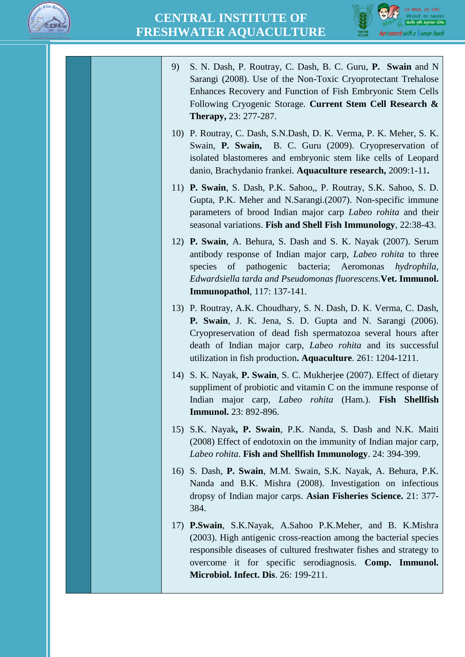



- 9) S. N. Dash, P. Routray, C. Dash, B. C. Guru, **P. Swain** and N Sarangi (2008). Use of the Non-Toxic Cryoprotectant Trehalose Enhances Recovery and Function of Fish Embryonic Stem Cells Following Cryogenic Storage. **Current Stem Cell Research & Therapy,** 23: 277-287.
- 10) P. Routray, C. Dash, S.N.Dash, D. K. Verma, P. K. Meher, S. K. Swain, **P. Swain,** B. C. Guru (2009). Cryopreservation of isolated blastomeres and embryonic stem like cells of Leopard danio, Brachydanio frankei. **Aquaculture research,** 2009:1-11**.**
- 11) **P. Swain**, S. Dash, P.K. Sahoo,, P. Routray, S.K. Sahoo, S. D. Gupta, P.K. Meher and N.Sarangi.(2007). Non-specific immune parameters of brood Indian major carp *Labeo rohita* and their seasonal variations. **Fish and Shell Fish Immunology**, 22:38-43.
- 12) **P. Swain**, A. Behura, S. Dash and S. K. Nayak (2007). Serum antibody response of Indian major carp, *Labeo rohita* to three species of pathogenic bacteria; Aeromonas *hydrophila, Edwardsiella tarda and Pseudomonas fluorescens.***Vet. Immunol. Immunopathol**, 117: 137-141.
- 13) P. Routray, A.K. Choudhary, S. N. Dash, D. K. Verma, C. Dash, **P. Swain**, J. K. Jena, S. D. Gupta and N. Sarangi (2006). Cryopreservation of dead fish spermatozoa several hours after death of Indian major carp, *Labeo rohita* and its successful utilization in fish production**. Aquaculture**. 261: 1204-1211.
- 14) S. K. Nayak, **P. Swain**, S. C. Mukherjee (2007). Effect of dietary suppliment of probiotic and vitamin C on the immune response of Indian major carp*, Labeo rohita* (Ham.). **Fish Shellfish Immunol.** 23: 892-896.
- 15) S.K. Nayak**, P. Swain**, P.K. Nanda, S. Dash and N.K. Maiti (2008) Effect of endotoxin on the immunity of Indian major carp*, Labeo rohita*. **Fish and Shellfish Immunology**. 24: 394-399.
- 16) S. Dash, **P. Swain**, M.M. Swain, S.K. Nayak, A. Behura, P.K. Nanda and B.K. Mishra (2008). Investigation on infectious dropsy of Indian major carps. **Asian Fisheries Science.** 21: 377- 384.
- 17) **P.Swain**, S.K.Nayak, A.Sahoo P.K.Meher, and B. K.Mishra (2003). High antigenic cross-reaction among the bacterial species responsible diseases of cultured freshwater fishes and strategy to overcome it for specific serodiagnosis. **Comp. Immunol. Microbiol. Infect. Dis**. 26: 199-211.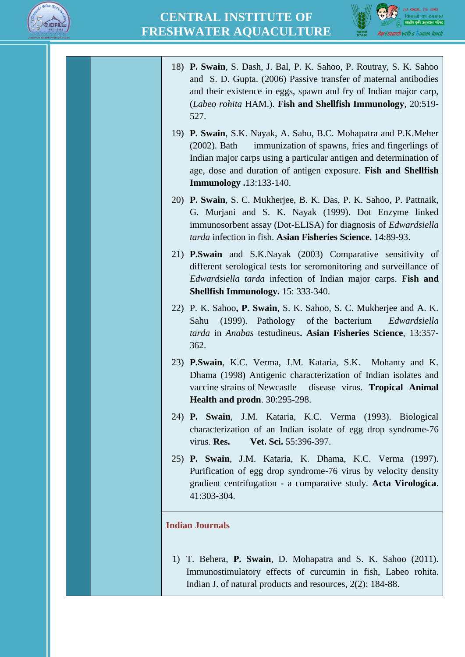



- 18) **P. Swain**, S. Dash, J. Bal, P. K. Sahoo, P. Routray, S. K. Sahoo and S. D. Gupta. (2006) Passive transfer of maternal antibodies and their existence in eggs, spawn and fry of Indian major carp, (*Labeo rohita* HAM.). **Fish and Shellfish Immunology**, 20:519- 527.
- 19) **P. Swain**, S.K. Nayak, A. Sahu, B.C. Mohapatra and P.K.Meher (2002). Bath immunization of spawns, fries and fingerlings of Indian major carps using a particular antigen and determination of age, dose and duration of antigen exposure. **Fish and Shellfish Immunology .**13:133-140.
- 20) **P. Swain**, S. C. Mukherjee, B. K. Das, P. K. Sahoo, P. Pattnaik, G. Murjani and S. K. Nayak (1999). Dot Enzyme linked immunosorbent assay (Dot-ELISA) for diagnosis of *Edwardsiella tarda* infection in fish. **Asian Fisheries Science.** 14:89-93.
- 21) **P.Swain** and S.K.Nayak (2003) Comparative sensitivity of different serological tests for seromonitoring and surveillance of *Edwardsiella tarda* infection of Indian major carps. **Fish and Shellfish Immunology.** 15: 333-340.
- 22) P. K. Sahoo**, P. Swain**, S. K. Sahoo, S. C. Mukherjee and A. K. Sahu (1999). Pathology of the bacterium *Edwardsiella tarda* in *Anabas* testudineus**. Asian Fisheries Science**, 13:357- 362.
- 23) **P.Swain**, K.C. Verma, J.M. Kataria, S.K. Mohanty and K. Dhama (1998) Antigenic characterization of Indian isolates and vaccine strains of Newcastle disease virus. **Tropical Animal Health and prodn**. 30:295-298.
- 24) **P. Swain**, J.M. Kataria, K.C. Verma (1993). Biological characterization of an Indian isolate of egg drop syndrome-76 virus. **Res. Vet. Sci.** 55:396-397.
- 25) **P. Swain**, J.M. Kataria, K. Dhama, K.C. Verma (1997). Purification of egg drop syndrome-76 virus by velocity density gradient centrifugation - a comparative study. **Acta Virologica**. 41:303-304.

#### **Indian Journals**

1) T. Behera, **P. Swain**, D. Mohapatra and S. K. Sahoo (2011). Immunostimulatory effects of curcumin in fish, Labeo rohita. Indian J. of natural products and resources, 2(2): 184-88.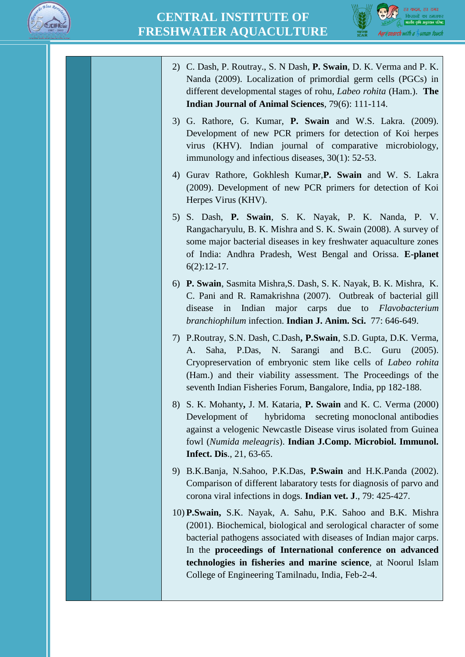



- 2) C. Dash, P. Routray., S. N Dash, **P. Swain**, D. K. Verma and P. K. Nanda (2009). Localization of primordial germ cells (PGCs) in different developmental stages of rohu, *Labeo rohita* (Ham.). **The Indian Journal of Animal Sciences**, 79(6): 111-114.
- 3) G. Rathore, G. Kumar, **P. Swain** and W.S. Lakra. (2009). Development of new PCR primers for detection of Koi herpes virus (KHV). Indian journal of comparative microbiology, immunology and infectious diseases, 30(1): 52-53.
- 4) Gurav Rathore, Gokhlesh Kumar,**P. Swain** and W. S. Lakra (2009). Development of new PCR primers for detection of Koi Herpes Virus (KHV).
- 5) S. Dash, **P. Swain**, S. K. Nayak, P. K. Nanda, P. V. Rangacharyulu, B. K. Mishra and S. K. Swain (2008). A survey of some major bacterial diseases in key freshwater aquaculture zones of India: Andhra Pradesh, West Bengal and Orissa. **E-planet** 6(2):12-17.
- 6) **P. Swain**, Sasmita Mishra,S. Dash, S. K. Nayak, B. K. Mishra, K. C. Pani and R. Ramakrishna (2007). Outbreak of bacterial gill disease in Indian major carps due to *Flavobacterium branchiophilum* infection. **Indian J. Anim. Sci.** 77: 646-649.
- 7) P.Routray, S.N. Dash, C.Dash**, P.Swain**, S.D. Gupta, D.K. Verma, A. Saha, P.Das, N. Sarangi and B.C. Guru (2005). Cryopreservation of embryonic stem like cells of *Labeo rohita* (Ham.) and their viability assessment. The Proceedings of the seventh Indian Fisheries Forum, Bangalore, India, pp 182-188.
- 8) S. K. Mohanty**,** J. M. Kataria, **P. Swain** and K. C. Verma (2000) Development of hybridoma secreting monoclonal antibodies against a velogenic Newcastle Disease virus isolated from Guinea fowl (*Numida meleagris*). **Indian J.Comp. Microbiol. Immunol. Infect. Dis**., 21, 63-65.
- 9) B.K.Banja, N.Sahoo, P.K.Das, **P.Swain** and H.K.Panda (2002). Comparison of different labaratory tests for diagnosis of parvo and corona viral infections in dogs. **Indian vet. J**., 79: 425-427.
- 10) **P.Swain,** S.K. Nayak, A. Sahu, P.K. Sahoo and B.K. Mishra (2001). Biochemical, biological and serological character of some bacterial pathogens associated with diseases of Indian major carps. In the **proceedings of International conference on advanced technologies in fisheries and marine science**, at Noorul Islam College of Engineering Tamilnadu, India, Feb-2-4.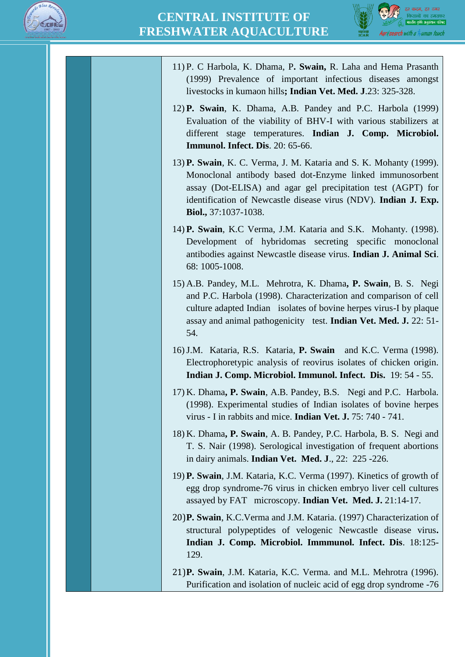

11) P. C Harbola, K. Dhama, P**. Swain,** R. Laha and Hema Prasanth



(1999) Prevalence of important infectious diseases amongst livestocks in kumaon hills**; Indian Vet. Med. J**.23: 325-328. 12) **P. Swain**, K. Dhama, A.B. Pandey and P.C. Harbola (1999) Evaluation of the viability of BHV-I with various stabilizers at different stage temperatures. **Indian J. Comp. Microbiol. Immunol. Infect. Dis**. 20: 65-66. 13) **P. Swain**, K. C. Verma, J. M. Kataria and S. K. Mohanty (1999). Monoclonal antibody based dot-Enzyme linked immunosorbent assay (Dot-ELISA) and agar gel precipitation test (AGPT) for identification of Newcastle disease virus (NDV). **Indian J. Exp. Biol.,** 37:1037-1038. 14) **P. Swain**, K.C Verma, J.M. Kataria and S.K. Mohanty. (1998). Development of hybridomas secreting specific monoclonal antibodies against Newcastle disease virus. **Indian J. Animal Sci**. 68: 1005-1008. 15) A.B. Pandey, M.L. Mehrotra, K. Dhama**, P. Swain**, B. S. Negi and P.C. Harbola (1998). Characterization and comparison of cell culture adapted Indian isolates of bovine herpes virus-I by plaque assay and animal pathogenicity test. **Indian Vet. Med. J.** 22: 51- 54. 16)J.M. Kataria, R.S. Kataria, **P. Swain** and K.C. Verma (1998). Electrophoretypic analysis of reovirus isolates of chicken origin. **Indian J. Comp. Microbiol. Immunol. Infect. Dis.** 19: 54 - 55. 17) K. Dhama**, P. Swain**, A.B. Pandey, B.S. Negi and P.C. Harbola. (1998). Experimental studies of Indian isolates of bovine herpes virus - I in rabbits and mice. **Indian Vet. J.** 75: 740 - 741. 18) K. Dhama**, P. Swain**, A. B. Pandey, P.C. Harbola, B. S. Negi and T. S. Nair (1998). Serological investigation of frequent abortions in dairy animals. **Indian Vet. Med. J**., 22: 225 -226. 19) **P. Swain**, J.M. Kataria, K.C. Verma (1997). Kinetics of growth of egg drop syndrome-76 virus in chicken embryo liver cell cultures assayed by FAT microscopy. **Indian Vet. Med. J.** 21:14-17. 20)**P. Swain**, K.C.Verma and J.M. Kataria. (1997) Characterization of structural polypeptides of velogenic Newcastle disease virus**. Indian J. Comp. Microbiol. Immmunol. Infect. Dis**. 18:125- 129. 21)**P. Swain**, J.M. Kataria, K.C. Verma. and M.L. Mehrotra (1996). Purification and isolation of nucleic acid of egg drop syndrome -76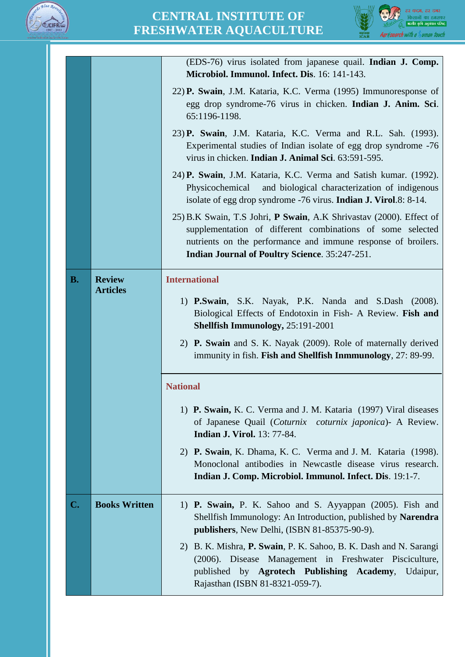



|    |                      | (EDS-76) virus isolated from japanese quail. Indian J. Comp.                                                                                                                                                                                                |
|----|----------------------|-------------------------------------------------------------------------------------------------------------------------------------------------------------------------------------------------------------------------------------------------------------|
|    |                      | Microbiol. Immunol. Infect. Dis. 16: 141-143.                                                                                                                                                                                                               |
|    |                      | 22) P. Swain, J.M. Kataria, K.C. Verma (1995) Immunoresponse of<br>egg drop syndrome-76 virus in chicken. Indian J. Anim. Sci.<br>65:1196-1198.                                                                                                             |
|    |                      | 23) P. Swain, J.M. Kataria, K.C. Verma and R.L. Sah. (1993).<br>Experimental studies of Indian isolate of egg drop syndrome -76<br>virus in chicken. Indian J. Animal Sci. 63:591-595.                                                                      |
|    |                      | 24) P. Swain, J.M. Kataria, K.C. Verma and Satish kumar. (1992).<br>Physicochemical<br>and biological characterization of indigenous<br>isolate of egg drop syndrome -76 virus. <b>Indian J. Virol</b> .8: 8-14.                                            |
|    |                      | 25) B.K Swain, T.S Johri, P Swain, A.K Shrivastav (2000). Effect of<br>supplementation of different combinations of some selected<br>nutrients on the performance and immune response of broilers.<br><b>Indian Journal of Poultry Science. 35:247-251.</b> |
| В. | <b>Review</b>        | <b>International</b>                                                                                                                                                                                                                                        |
|    | <b>Articles</b>      | 1) <b>P.Swain</b> , S.K. Nayak, P.K. Nanda and S.Dash (2008).<br>Biological Effects of Endotoxin in Fish- A Review. Fish and<br><b>Shellfish Immunology, 25:191-2001</b>                                                                                    |
|    |                      | 2) P. Swain and S. K. Nayak (2009). Role of maternally derived<br>immunity in fish. Fish and Shellfish Inmmunology, 27: 89-99.                                                                                                                              |
|    |                      | <b>National</b>                                                                                                                                                                                                                                             |
|    |                      | 1) P. Swain, K. C. Verma and J. M. Kataria (1997) Viral diseases<br>of Japanese Quail (Coturnix coturnix japonica) - A Review.<br><b>Indian J. Virol.</b> 13: 77-84.                                                                                        |
|    |                      | 2) P. Swain, K. Dhama, K. C. Verma and J. M. Kataria (1998).<br>Monoclonal antibodies in Newcastle disease virus research.<br>Indian J. Comp. Microbiol. Immunol. Infect. Dis. 19:1-7.                                                                      |
| C. | <b>Books Written</b> | 1) P. Swain, P. K. Sahoo and S. Ayyappan (2005). Fish and<br>Shellfish Immunology: An Introduction, published by Narendra<br>publishers, New Delhi, (ISBN 81-85375-90-9).                                                                                   |
|    |                      | 2) B. K. Mishra, P. Swain, P. K. Sahoo, B. K. Dash and N. Sarangi<br>(2006). Disease Management in Freshwater Pisciculture,<br>published by Agrotech Publishing Academy, Udaipur,<br>Rajasthan (ISBN 81-8321-059-7).                                        |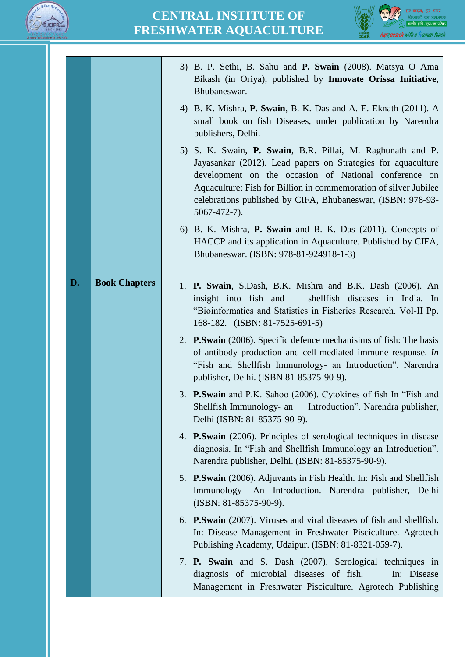



|    |                      | 3) B. P. Sethi, B. Sahu and <b>P. Swain</b> (2008). Matsya O Ama<br>Bikash (in Oriya), published by Innovate Orissa Initiative,<br>Bhubaneswar.<br>4) B. K. Mishra, P. Swain, B. K. Das and A. E. Eknath (2011). A<br>small book on fish Diseases, under publication by Narendra<br>publishers, Delhi.<br>5) S. K. Swain, P. Swain, B.R. Pillai, M. Raghunath and P.<br>Jayasankar (2012). Lead papers on Strategies for aquaculture<br>development on the occasion of National conference on<br>Aquaculture: Fish for Billion in commemoration of silver Jubilee<br>celebrations published by CIFA, Bhubaneswar, (ISBN: 978-93-<br>$5067 - 472 - 7$ ).<br>6) B. K. Mishra, P. Swain and B. K. Das (2011). Concepts of |
|----|----------------------|------------------------------------------------------------------------------------------------------------------------------------------------------------------------------------------------------------------------------------------------------------------------------------------------------------------------------------------------------------------------------------------------------------------------------------------------------------------------------------------------------------------------------------------------------------------------------------------------------------------------------------------------------------------------------------------------------------------------|
|    |                      | HACCP and its application in Aquaculture. Published by CIFA,<br>Bhubaneswar. (ISBN: 978-81-924918-1-3)                                                                                                                                                                                                                                                                                                                                                                                                                                                                                                                                                                                                                 |
| D. | <b>Book Chapters</b> | 1. P. Swain, S.Dash, B.K. Mishra and B.K. Dash (2006). An<br>insight into fish and<br>shellfish diseases in India. In<br>"Bioinformatics and Statistics in Fisheries Research. Vol-II Pp.<br>168-182. (ISBN: 81-7525-691-5)<br>2. P. Swain (2006). Specific defence mechanisims of fish: The basis<br>of antibody production and cell-mediated immune response. In                                                                                                                                                                                                                                                                                                                                                     |
|    |                      | "Fish and Shellfish Immunology- an Introduction". Narendra<br>publisher, Delhi. (ISBN 81-85375-90-9).                                                                                                                                                                                                                                                                                                                                                                                                                                                                                                                                                                                                                  |
|    |                      | 3. P.Swain and P.K. Sahoo (2006). Cytokines of fish In "Fish and<br>Introduction". Narendra publisher,<br>Shellfish Immunology- an<br>Delhi (ISBN: 81-85375-90-9).                                                                                                                                                                                                                                                                                                                                                                                                                                                                                                                                                     |
|    |                      | 4. <b>P.Swain</b> (2006). Principles of serological techniques in disease<br>diagnosis. In "Fish and Shellfish Immunology an Introduction".<br>Narendra publisher, Delhi. (ISBN: 81-85375-90-9).                                                                                                                                                                                                                                                                                                                                                                                                                                                                                                                       |
|    |                      | 5. P.Swain (2006). Adjuvants in Fish Health. In: Fish and Shellfish<br>Immunology- An Introduction. Narendra publisher, Delhi<br>(ISBN: 81-85375-90-9).                                                                                                                                                                                                                                                                                                                                                                                                                                                                                                                                                                |
|    |                      | 6. <b>P.Swain</b> (2007). Viruses and viral diseases of fish and shellfish.<br>In: Disease Management in Freshwater Pisciculture. Agrotech<br>Publishing Academy, Udaipur. (ISBN: 81-8321-059-7).                                                                                                                                                                                                                                                                                                                                                                                                                                                                                                                      |
|    |                      | 7. <b>P. Swain</b> and S. Dash (2007). Serological techniques in<br>diagnosis of microbial diseases of fish.<br>In: Disease<br>Management in Freshwater Pisciculture. Agrotech Publishing                                                                                                                                                                                                                                                                                                                                                                                                                                                                                                                              |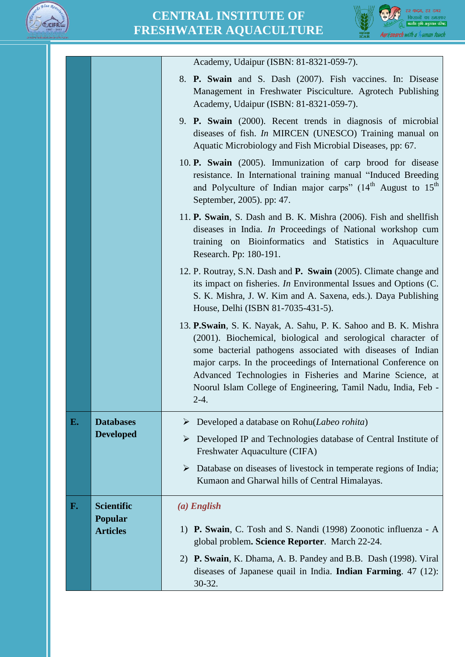



|    |                            | Academy, Udaipur (ISBN: 81-8321-059-7).                                                                                                                                                                                                                                                                                                                                                                   |
|----|----------------------------|-----------------------------------------------------------------------------------------------------------------------------------------------------------------------------------------------------------------------------------------------------------------------------------------------------------------------------------------------------------------------------------------------------------|
|    |                            | 8. <b>P. Swain</b> and S. Dash (2007). Fish vaccines. In: Disease<br>Management in Freshwater Pisciculture. Agrotech Publishing<br>Academy, Udaipur (ISBN: 81-8321-059-7).                                                                                                                                                                                                                                |
|    |                            | 9. <b>P. Swain</b> (2000). Recent trends in diagnosis of microbial<br>diseases of fish. <i>In</i> MIRCEN (UNESCO) Training manual on<br>Aquatic Microbiology and Fish Microbial Diseases, pp: 67.                                                                                                                                                                                                         |
|    |                            | 10. <b>P.</b> Swain (2005). Immunization of carp brood for disease<br>resistance. In International training manual "Induced Breeding<br>and Polyculture of Indian major carps" (14 <sup>th</sup> August to 15 <sup>th</sup><br>September, 2005). pp: 47.                                                                                                                                                  |
|    |                            | 11. <b>P. Swain</b> , S. Dash and B. K. Mishra (2006). Fish and shellfish<br>diseases in India. <i>In</i> Proceedings of National workshop cum<br>training on Bioinformatics and Statistics in Aquaculture<br>Research. Pp: 180-191.                                                                                                                                                                      |
|    |                            | 12. P. Routray, S.N. Dash and P. Swain (2005). Climate change and<br>its impact on fisheries. In Environmental Issues and Options (C.<br>S. K. Mishra, J. W. Kim and A. Saxena, eds.). Daya Publishing<br>House, Delhi (ISBN 81-7035-431-5).                                                                                                                                                              |
|    |                            | 13. P. Swain, S. K. Nayak, A. Sahu, P. K. Sahoo and B. K. Mishra<br>(2001). Biochemical, biological and serological character of<br>some bacterial pathogens associated with diseases of Indian<br>major carps. In the proceedings of International Conference on<br>Advanced Technologies in Fisheries and Marine Science, at<br>Noorul Islam College of Engineering, Tamil Nadu, India, Feb -<br>$2-4.$ |
| E. | <b>Databases</b>           | Developed a database on Rohu(Labeo rohita)<br>➤                                                                                                                                                                                                                                                                                                                                                           |
|    | <b>Developed</b>           | Developed IP and Technologies database of Central Institute of<br>➤<br>Freshwater Aquaculture (CIFA)                                                                                                                                                                                                                                                                                                      |
|    |                            | Database on diseases of livestock in temperate regions of India;<br>➤<br>Kumaon and Gharwal hills of Central Himalayas.                                                                                                                                                                                                                                                                                   |
| F. | <b>Scientific</b>          | $(a)$ English                                                                                                                                                                                                                                                                                                                                                                                             |
|    | Popular<br><b>Articles</b> | 1) P. Swain, C. Tosh and S. Nandi (1998) Zoonotic influenza - A<br>global problem. Science Reporter. March 22-24.                                                                                                                                                                                                                                                                                         |
|    |                            | 2) P. Swain, K. Dhama, A. B. Pandey and B.B. Dash (1998). Viral<br>diseases of Japanese quail in India. <b>Indian Farming</b> . $47$ (12):<br>30-32.                                                                                                                                                                                                                                                      |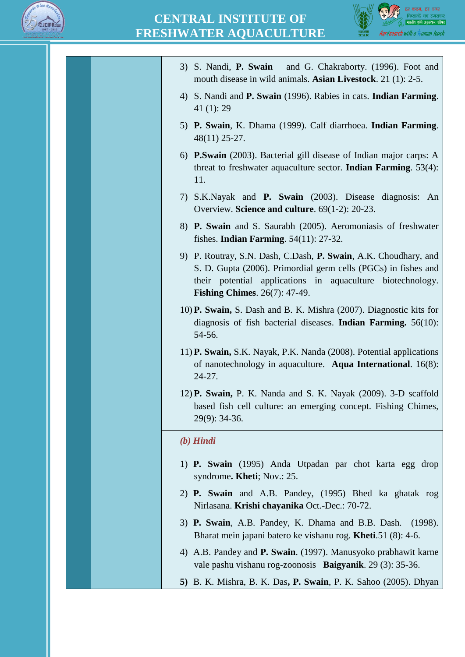



| 3) S. Nandi, P. Swain and G. Chakraborty. (1996). Foot and<br>mouth disease in wild animals. Asian Livestock. 21 (1): 2-5.                                                                                                                 |
|--------------------------------------------------------------------------------------------------------------------------------------------------------------------------------------------------------------------------------------------|
| 4) S. Nandi and <b>P. Swain</b> (1996). Rabies in cats. <b>Indian Farming</b> .<br>41 $(1)$ : 29                                                                                                                                           |
| 5) P. Swain, K. Dhama (1999). Calf diarrhoea. Indian Farming.<br>$48(11)$ 25-27.                                                                                                                                                           |
| 6) P.Swain (2003). Bacterial gill disease of Indian major carps: A<br>threat to freshwater aquaculture sector. <b>Indian Farming</b> . $53(4)$ :<br>11.                                                                                    |
| 7) S.K.Nayak and <b>P. Swain</b> (2003). Disease diagnosis:<br>An<br>Overview. Science and culture. 69(1-2): 20-23.                                                                                                                        |
| 8) P. Swain and S. Saurabh (2005). Aeromoniasis of freshwater<br>fishes. <b>Indian Farming</b> . $54(11)$ : 27-32.                                                                                                                         |
| 9) P. Routray, S.N. Dash, C.Dash, P. Swain, A.K. Choudhary, and<br>S. D. Gupta (2006). Primordial germ cells (PGCs) in fishes and<br>their potential applications in aquaculture biotechnology.<br><b>Fishing Chimes.</b> $26(7)$ : 47-49. |
| 10) <b>P. Swain,</b> S. Dash and B. K. Mishra (2007). Diagnostic kits for<br>diagnosis of fish bacterial diseases. <b>Indian Farming.</b> $56(10)$ :                                                                                       |

- 11) **P. Swain,** S.K. Nayak, P.K. Nanda (2008). Potential applications of nanotechnology in aquaculture. **Aqua International**. 16(8): 24-27.
- 12) **P. Swain,** P. K. Nanda and S. K. Nayak (2009). 3-D scaffold based fish cell culture: an emerging concept. Fishing Chimes, 29(9): 34-36.

#### *(b) Hindi*

54-56.

- 1) **P. Swain** (1995) Anda Utpadan par chot karta egg drop syndrome**. Kheti**; Nov.: 25.
- 2) **P. Swain** and A.B. Pandey, (1995) Bhed ka ghatak rog Nirlasana. **Krishi chayanika** Oct.-Dec.: 70-72.
- 3) **P. Swain**, A.B. Pandey, K. Dhama and B.B. Dash. (1998). Bharat mein japani batero ke vishanu rog. **Kheti**.51 (8): 4-6.
- 4) A.B. Pandey and **P. Swain**. (1997). Manusyoko prabhawit karne vale pashu vishanu rog-zoonosis **Baigyanik**. 29 (3): 35-36.
- **5)** B. K. Mishra, B. K. Das**, P. Swain**, P. K. Sahoo (2005). Dhyan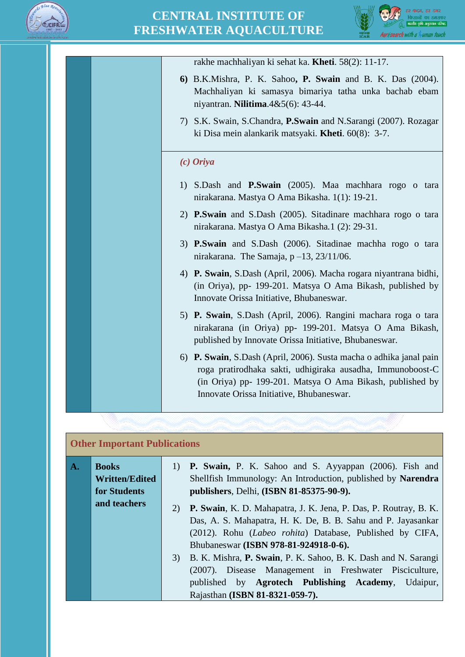



rakhe machhaliyan ki sehat ka. **Kheti**. 58(2): 11-17. **6)** B.K.Mishra, P. K. Sahoo**, P. Swain** and B. K. Das (2004). Machhaliyan ki samasya bimariya tatha unka bachab ebam niyantran. **Nilitima**.4&5(6): 43-44. 7) S.K. Swain, S.Chandra, **P.Swain** and N.Sarangi (2007). Rozagar ki Disa mein alankarik matsyaki. **Kheti**. 60(8): 3-7. *(c) Oriya* 1) S.Dash and **P.Swain** (2005). Maa machhara rogo o tara nirakarana. Mastya O Ama Bikasha. 1(1): 19-21. 2) **P.Swain** and S.Dash (2005). Sitadinare machhara rogo o tara nirakarana. Mastya O Ama Bikasha*.*1 (2): 29-31. 3) **P.Swain** and S.Dash (2006). Sitadinae machha rogo o tara nirakarana. The Samaja, p –13, 23/11/06. 4) **P. Swain**, S.Dash (April, 2006). Macha rogara niyantrana bidhi, (in Oriya), pp- 199-201. Matsya O Ama Bikash, published by Innovate Orissa Initiative, Bhubaneswar. 5) **P. Swain**, S.Dash (April, 2006). Rangini machara roga o tara nirakarana (in Oriya) pp- 199-201. Matsya O Ama Bikash, published by Innovate Orissa Initiative, Bhubaneswar. 6) **P. Swain**, S.Dash (April, 2006). Susta macha o adhika janal pain roga pratirodhaka sakti, udhigiraka ausadha, Immunoboost-C (in Oriya) pp- 199-201. Matsya O Ama Bikash, published by Innovate Orissa Initiative, Bhubaneswar.

# **Other Important Publications**

| $\mathbf{A}$ . | <b>Books</b>          | 1) <b>P. Swain,</b> P. K. Sahoo and S. Ayyappan (2006). Fish and       |  |  |
|----------------|-----------------------|------------------------------------------------------------------------|--|--|
|                | <b>Written/Edited</b> | Shellfish Immunology: An Introduction, published by Narendra           |  |  |
|                | for Students          | publishers, Delhi, (ISBN 81-85375-90-9).                               |  |  |
|                | and teachers          | P. Swain, K. D. Mahapatra, J. K. Jena, P. Das, P. Routray, B. K.<br>2) |  |  |
|                |                       | Das, A. S. Mahapatra, H. K. De, B. B. Sahu and P. Jayasankar           |  |  |
|                |                       | (2012). Rohu (Labeo rohita) Database, Published by CIFA,               |  |  |
|                |                       | Bhubaneswar (ISBN 978-81-924918-0-6).                                  |  |  |
|                |                       | B. K. Mishra, P. Swain, P. K. Sahoo, B. K. Dash and N. Sarangi<br>3)   |  |  |
|                |                       | (2007). Disease Management in Freshwater Pisciculture,                 |  |  |
|                |                       | published by Agrotech Publishing Academy,<br>Udaipur,                  |  |  |
|                |                       | Rajasthan (ISBN 81-8321-059-7).                                        |  |  |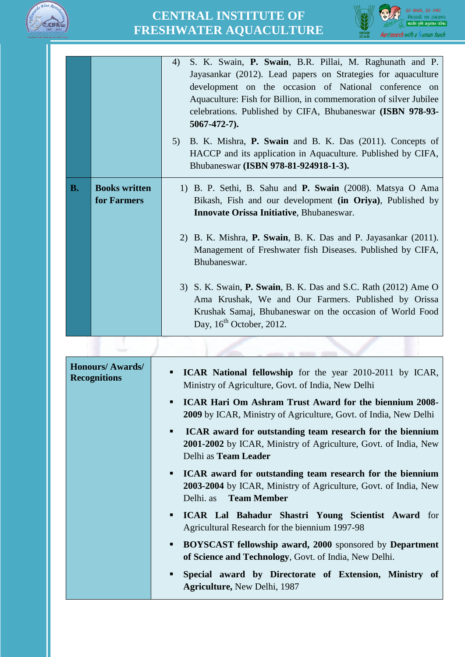



|           |                                     | S. K. Swain, P. Swain, B.R. Pillai, M. Raghunath and P.<br>4)<br>Jayasankar (2012). Lead papers on Strategies for aquaculture<br>development on the occasion of National conference on<br>Aquaculture: Fish for Billion, in commemoration of silver Jubilee<br>celebrations. Published by CIFA, Bhubaneswar (ISBN 978-93-<br>$5067 - 472 - 7$ .<br>B. K. Mishra, P. Swain and B. K. Das (2011). Concepts of<br>5)<br>HACCP and its application in Aquaculture. Published by CIFA,<br>Bhubaneswar (ISBN 978-81-924918-1-3).                       |
|-----------|-------------------------------------|--------------------------------------------------------------------------------------------------------------------------------------------------------------------------------------------------------------------------------------------------------------------------------------------------------------------------------------------------------------------------------------------------------------------------------------------------------------------------------------------------------------------------------------------------|
| <b>B.</b> | <b>Books written</b><br>for Farmers | 1) B. P. Sethi, B. Sahu and <b>P. Swain</b> (2008). Matsya O Ama<br>Bikash, Fish and our development (in Oriya), Published by<br>Innovate Orissa Initiative, Bhubaneswar.<br>2) B. K. Mishra, P. Swain, B. K. Das and P. Jayasankar (2011).<br>Management of Freshwater fish Diseases. Published by CIFA,<br>Bhubaneswar.<br>3) S. K. Swain, P. Swain, B. K. Das and S.C. Rath (2012) Ame O<br>Ama Krushak, We and Our Farmers. Published by Orissa<br>Krushak Samaj, Bhubaneswar on the occasion of World Food<br>Day, $16^{th}$ October, 2012. |
|           |                                     |                                                                                                                                                                                                                                                                                                                                                                                                                                                                                                                                                  |

| <b>Honours/Awards/</b><br><b>Recognitions</b> | • ICAR National fellowship for the year 2010-2011 by ICAR,<br>Ministry of Agriculture, Govt. of India, New Delhi                                               |
|-----------------------------------------------|----------------------------------------------------------------------------------------------------------------------------------------------------------------|
|                                               | <b>ICAR Hari Om Ashram Trust Award for the biennium 2008-</b><br>$\blacksquare$<br><b>2009</b> by ICAR, Ministry of Agriculture, Govt. of India, New Delhi     |
|                                               | • ICAR award for outstanding team research for the biennium<br>2001-2002 by ICAR, Ministry of Agriculture, Govt. of India, New<br>Delhi as Team Leader         |
|                                               | • ICAR award for outstanding team research for the biennium<br>2003-2004 by ICAR, Ministry of Agriculture, Govt. of India, New<br>Delhi. as <b>Team Member</b> |
|                                               | " ICAR Lal Bahadur Shastri Young Scientist Award for<br>Agricultural Research for the biennium 1997-98                                                         |
|                                               | <b>BOYSCAST fellowship award, 2000</b> sponsored by <b>Department</b><br>$\mathbf{u}$ .<br>of Science and Technology, Govt. of India, New Delhi.               |
|                                               | Special award by Directorate of Extension, Ministry of<br>$\blacksquare$<br>Agriculture, New Delhi, 1987                                                       |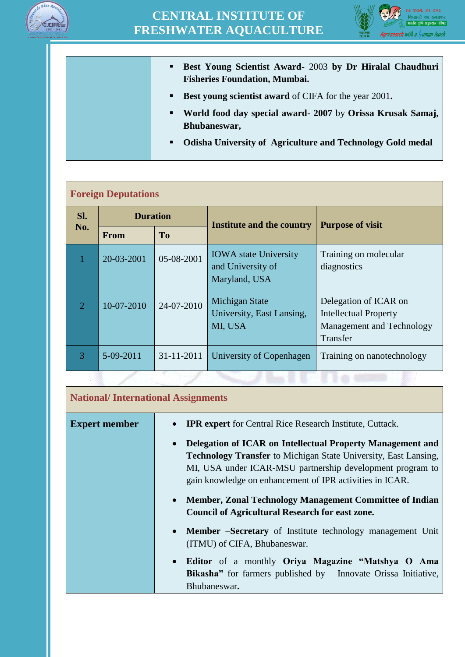



- **Best Young Scientist Award-** 2003 **by Dr Hiralal Chaudhuri Fisheries Foundation, Mumbai.**
- **Best young scientist award** of CIFA for the year 2001.
- **World food day special award- 2007** by **Orissa Krusak Samaj, Bhubaneswar,**
- **Odisha University of Agriculture and Technology Gold medal**

### **Foreign Deputations**

| Sl.<br>No.     | <b>Duration</b> |                | <b>Institute and the country</b>                                   | <b>Purpose of visit</b>                                                                        |  |
|----------------|-----------------|----------------|--------------------------------------------------------------------|------------------------------------------------------------------------------------------------|--|
|                | <b>From</b>     | T <sub>0</sub> |                                                                    |                                                                                                |  |
|                | 20-03-2001      | 05-08-2001     | <b>IOWA</b> state University<br>and University of<br>Maryland, USA | Training on molecular<br>diagnostics                                                           |  |
| $\overline{2}$ | 10-07-2010      | 24-07-2010     | Michigan State<br>University, East Lansing,<br>MI, USA             | Delegation of ICAR on<br><b>Intellectual Property</b><br>Management and Technology<br>Transfer |  |
| 3              | $5-09-2011$     | 31-11-2011     | University of Copenhagen                                           | Training on nanotechnology                                                                     |  |

| <b>National/International Assignments</b> |                                                                                                                                                                                                                                                                                                                                                                                                                                                              |  |
|-------------------------------------------|--------------------------------------------------------------------------------------------------------------------------------------------------------------------------------------------------------------------------------------------------------------------------------------------------------------------------------------------------------------------------------------------------------------------------------------------------------------|--|
| <b>Expert member</b>                      | <b>IPR</b> expert for Central Rice Research Institute, Cuttack.<br>Delegation of ICAR on Intellectual Property Management and<br><b>Technology Transfer</b> to Michigan State University, East Lansing,<br>MI, USA under ICAR-MSU partnership development program to<br>gain knowledge on enhancement of IPR activities in ICAR.<br><b>Member, Zonal Technology Management Committee of Indian</b><br><b>Council of Agricultural Research for east zone.</b> |  |
|                                           | <b>Member –Secretary</b> of Institute technology management Unit<br>(ITMU) of CIFA, Bhubaneswar.<br>Editor of a monthly Oriya Magazine "Matshya O Ama<br>Bikasha" for farmers published by Innovate Orissa Initiative,<br>Bhubaneswar.                                                                                                                                                                                                                       |  |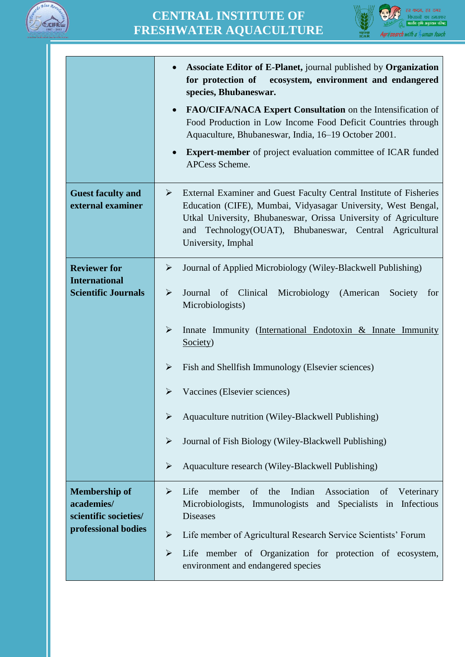



|                                                                                    | Associate Editor of E-Planet, journal published by Organization<br>$\bullet$<br>for protection of ecosystem, environment and endangered<br>species, Bhubaneswar.                                                                                                                                                                                                                                                                                                                                                                                                                                                                                                                |
|------------------------------------------------------------------------------------|---------------------------------------------------------------------------------------------------------------------------------------------------------------------------------------------------------------------------------------------------------------------------------------------------------------------------------------------------------------------------------------------------------------------------------------------------------------------------------------------------------------------------------------------------------------------------------------------------------------------------------------------------------------------------------|
|                                                                                    | FAO/CIFA/NACA Expert Consultation on the Intensification of<br>$\bullet$<br>Food Production in Low Income Food Deficit Countries through<br>Aquaculture, Bhubaneswar, India, 16–19 October 2001.                                                                                                                                                                                                                                                                                                                                                                                                                                                                                |
|                                                                                    | <b>Expert-member</b> of project evaluation committee of ICAR funded<br>$\bullet$<br>APCess Scheme.                                                                                                                                                                                                                                                                                                                                                                                                                                                                                                                                                                              |
| <b>Guest faculty and</b><br>external examiner                                      | External Examiner and Guest Faculty Central Institute of Fisheries<br>$\blacktriangleright$<br>Education (CIFE), Mumbai, Vidyasagar University, West Bengal,<br>Utkal University, Bhubaneswar, Orissa University of Agriculture<br>and Technology(OUAT), Bhubaneswar, Central Agricultural<br>University, Imphal                                                                                                                                                                                                                                                                                                                                                                |
| <b>Reviewer for</b><br><b>International</b><br><b>Scientific Journals</b>          | Journal of Applied Microbiology (Wiley-Blackwell Publishing)<br>$\blacktriangleright$<br>$\blacktriangleright$<br>Journal<br>of Clinical<br>Microbiology<br>(American<br>Society<br>for<br>Microbiologists)<br>$\blacktriangleright$<br>Innate Immunity (International Endotoxin & Innate Immunity<br>Society)<br>$\blacktriangleright$<br>Fish and Shellfish Immunology (Elsevier sciences)<br>➤<br>Vaccines (Elsevier sciences)<br>Aquaculture nutrition (Wiley-Blackwell Publishing)<br>$\blacktriangleright$<br>Journal of Fish Biology (Wiley-Blackwell Publishing)<br>$\blacktriangleright$<br>$\blacktriangleright$<br>Aquaculture research (Wiley-Blackwell Publishing) |
| <b>Membership of</b><br>academies/<br>scientific societies/<br>professional bodies | of<br>Indian<br>Life<br>member<br>the<br>Association<br>of<br>Veterinary<br>➤<br>Microbiologists, Immunologists and Specialists in Infectious<br><b>Diseases</b><br>$\blacktriangleright$<br>Life member of Agricultural Research Service Scientists' Forum<br>$\blacktriangleright$<br>Life member of Organization for protection of ecosystem,<br>environment and endangered species                                                                                                                                                                                                                                                                                          |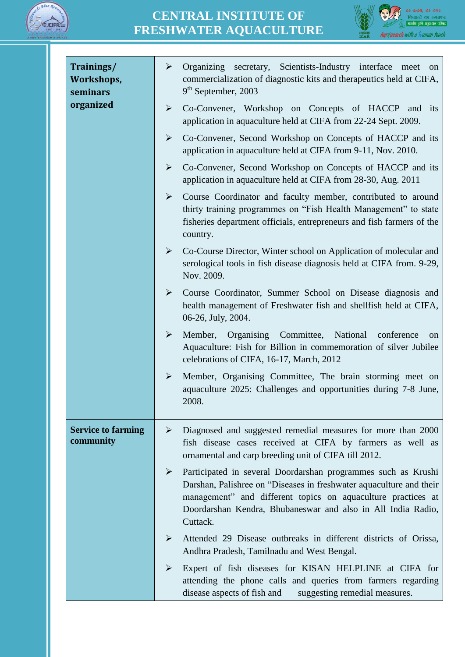



| Trainings/<br>Workshops,<br>seminars   | $\blacktriangleright$<br>secretary, Scientists-Industry interface meet on<br>Organizing<br>commercialization of diagnostic kits and therapeutics held at CIFA,<br>9 <sup>th</sup> September, 2003                                                                                     |
|----------------------------------------|---------------------------------------------------------------------------------------------------------------------------------------------------------------------------------------------------------------------------------------------------------------------------------------|
| organized                              | $\blacktriangleright$<br>Co-Convener, Workshop on Concepts of HACCP and its<br>application in aquaculture held at CIFA from 22-24 Sept. 2009.                                                                                                                                         |
|                                        | Co-Convener, Second Workshop on Concepts of HACCP and its<br>➤<br>application in aquaculture held at CIFA from 9-11, Nov. 2010.                                                                                                                                                       |
|                                        | $\blacktriangleright$<br>Co-Convener, Second Workshop on Concepts of HACCP and its<br>application in aquaculture held at CIFA from 28-30, Aug. 2011                                                                                                                                   |
|                                        | $\blacktriangleright$<br>Course Coordinator and faculty member, contributed to around<br>thirty training programmes on "Fish Health Management" to state<br>fisheries department officials, entrepreneurs and fish farmers of the<br>country.                                         |
|                                        | $\blacktriangleright$<br>Co-Course Director, Winter school on Application of molecular and<br>serological tools in fish disease diagnosis held at CIFA from. 9-29,<br>Nov. 2009.                                                                                                      |
|                                        | $\blacktriangleright$<br>Course Coordinator, Summer School on Disease diagnosis and<br>health management of Freshwater fish and shellfish held at CIFA,<br>06-26, July, 2004.                                                                                                         |
|                                        | $\blacktriangleright$<br>Member, Organising Committee, National<br>conference<br>on<br>Aquaculture: Fish for Billion in commemoration of silver Jubilee<br>celebrations of CIFA, 16-17, March, 2012                                                                                   |
|                                        | $\blacktriangleright$<br>Member, Organising Committee, The brain storming meet on<br>aquaculture 2025: Challenges and opportunities during 7-8 June,<br>2008.                                                                                                                         |
| <b>Service to farming</b><br>community | Diagnosed and suggested remedial measures for more than 2000<br>➤<br>fish disease cases received at CIFA by farmers as well as<br>ornamental and carp breeding unit of CIFA till 2012.                                                                                                |
|                                        | Participated in several Doordarshan programmes such as Krushi<br>≻<br>Darshan, Palishree on "Diseases in freshwater aquaculture and their<br>management" and different topics on aquaculture practices at<br>Doordarshan Kendra, Bhubaneswar and also in All India Radio,<br>Cuttack. |
|                                        | Attended 29 Disease outbreaks in different districts of Orissa,<br>≻<br>Andhra Pradesh, Tamilnadu and West Bengal.                                                                                                                                                                    |
|                                        | Expert of fish diseases for KISAN HELPLINE at CIFA for<br>➤<br>attending the phone calls and queries from farmers regarding<br>disease aspects of fish and<br>suggesting remedial measures.                                                                                           |